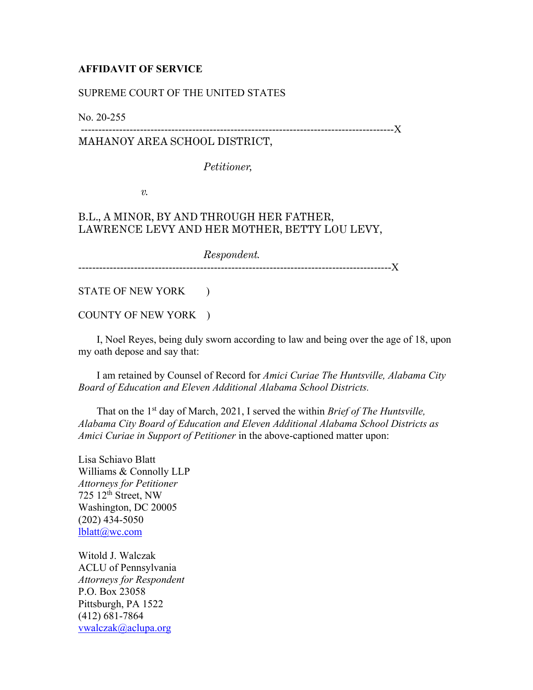## **AFFIDAVIT OF SERVICE**

## SUPREME COURT OF THE UNITED STATES

No. 20-255

## ------------------------------------------------------------------------------------------X MAHANOY AREA SCHOOL DISTRICT,

*Petitioner,*

*v.*

## B.L., A MINOR, BY AND THROUGH HER FATHER, LAWRENCE LEVY AND HER MOTHER, BETTY LOU LEVY,

*Respondent.* ------------------------------------------------------------------------------------------X

STATE OF NEW YORK )

COUNTY OF NEW YORK )

 I, Noel Reyes, being duly sworn according to law and being over the age of 18, upon my oath depose and say that:

 I am retained by Counsel of Record for *Amici Curiae The Huntsville, Alabama City Board of Education and Eleven Additional Alabama School Districts.*

That on the 1<sup>st</sup> day of March, 2021, I served the within *Brief of The Huntsville*, *Alabama City Board of Education and Eleven Additional Alabama School Districts as Amici Curiae in Support of Petitioner* in the above-captioned matter upon:

Lisa Schiavo Blatt Williams & Connolly LLP *Attorneys for Petitioner* 725  $12<sup>th</sup>$  Street, NW Washington, DC 20005 (202) 434-5050 [lblatt@wc.com](mailto:lblatt@wc.com)

Witold J. Walczak ACLU of Pennsylvania *Attorneys for Respondent* P.O. Box 23058 Pittsburgh, PA 1522 (412) 681-7864 [vwalczak@aclupa.org](mailto:vwalczak@aclupa.org)